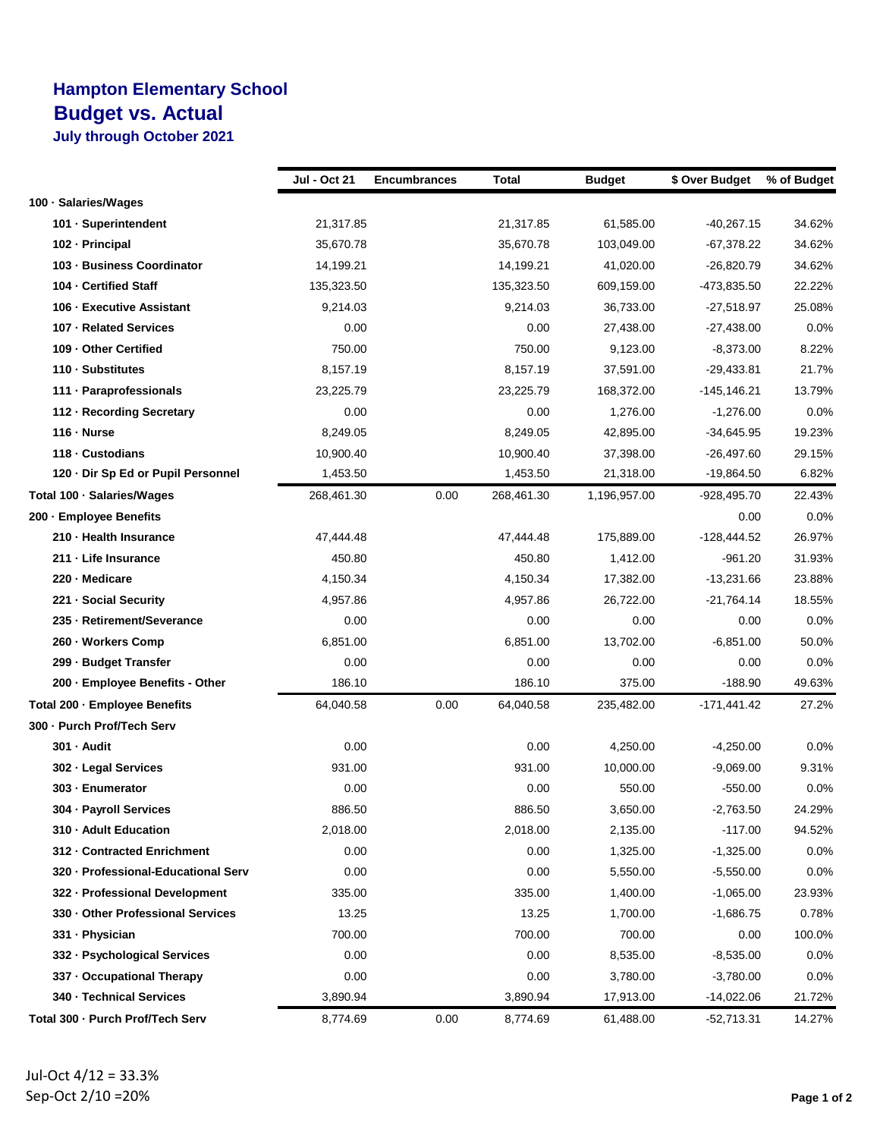## **Hampton Elementary School Budget vs. Actual**

**July through October 2021**

|                                     | Jul - Oct 21 | <b>Encumbrances</b> | Total      | <b>Budget</b> | \$ Over Budget | % of Budget |
|-------------------------------------|--------------|---------------------|------------|---------------|----------------|-------------|
| 100 · Salaries/Wages                |              |                     |            |               |                |             |
| 101 · Superintendent                | 21,317.85    |                     | 21,317.85  | 61,585.00     | -40,267.15     | 34.62%      |
| 102 - Principal                     | 35,670.78    |                     | 35,670.78  | 103,049.00    | -67,378.22     | 34.62%      |
| 103 - Business Coordinator          | 14,199.21    |                     | 14,199.21  | 41,020.00     | -26,820.79     | 34.62%      |
| 104 - Certified Staff               | 135,323.50   |                     | 135,323.50 | 609,159.00    | -473,835.50    | 22.22%      |
| 106 - Executive Assistant           | 9,214.03     |                     | 9,214.03   | 36,733.00     | -27,518.97     | 25.08%      |
| 107 - Related Services              | 0.00         |                     | 0.00       | 27,438.00     | $-27,438.00$   | 0.0%        |
| 109 - Other Certified               | 750.00       |                     | 750.00     | 9,123.00      | $-8,373.00$    | 8.22%       |
| 110 - Substitutes                   | 8,157.19     |                     | 8,157.19   | 37,591.00     | $-29,433.81$   | 21.7%       |
| 111 · Paraprofessionals             | 23,225.79    |                     | 23,225.79  | 168,372.00    | $-145, 146.21$ | 13.79%      |
| 112 - Recording Secretary           | 0.00         |                     | 0.00       | 1,276.00      | $-1,276.00$    | 0.0%        |
| 116 - Nurse                         | 8,249.05     |                     | 8,249.05   | 42,895.00     | -34,645.95     | 19.23%      |
| 118 - Custodians                    | 10,900.40    |                     | 10,900.40  | 37,398.00     | $-26,497.60$   | 29.15%      |
| 120 · Dir Sp Ed or Pupil Personnel  | 1,453.50     |                     | 1,453.50   | 21,318.00     | -19,864.50     | 6.82%       |
| Total 100 · Salaries/Wages          | 268,461.30   | 0.00                | 268,461.30 | 1,196,957.00  | -928,495.70    | 22.43%      |
| 200 - Employee Benefits             |              |                     |            |               | 0.00           | 0.0%        |
| 210 - Health Insurance              | 47,444.48    |                     | 47,444.48  | 175,889.00    | -128,444.52    | 26.97%      |
| 211 - Life Insurance                | 450.80       |                     | 450.80     | 1,412.00      | $-961.20$      | 31.93%      |
| 220 - Medicare                      | 4,150.34     |                     | 4,150.34   | 17,382.00     | $-13,231.66$   | 23.88%      |
| 221 - Social Security               | 4,957.86     |                     | 4,957.86   | 26,722.00     | -21,764.14     | 18.55%      |
| 235 - Retirement/Severance          | 0.00         |                     | 0.00       | 0.00          | 0.00           | 0.0%        |
| 260 · Workers Comp                  | 6,851.00     |                     | 6,851.00   | 13,702.00     | $-6,851.00$    | 50.0%       |
| 299 - Budget Transfer               | 0.00         |                     | 0.00       | 0.00          | 0.00           | 0.0%        |
| 200 - Employee Benefits - Other     | 186.10       |                     | 186.10     | 375.00        | $-188.90$      | 49.63%      |
| Total 200 - Employee Benefits       | 64,040.58    | 0.00                | 64,040.58  | 235,482.00    | $-171,441.42$  | 27.2%       |
| 300 - Purch Prof/Tech Serv          |              |                     |            |               |                |             |
| 301 - Audit                         | 0.00         |                     | 0.00       | 4,250.00      | $-4,250.00$    | $0.0\%$     |
| 302 - Legal Services                | 931.00       |                     | 931.00     | 10,000.00     | $-9,069.00$    | 9.31%       |
| 303 - Enumerator                    | 0.00         |                     | 0.00       | 550.00        | $-550.00$      | $0.0\%$     |
| 304 - Payroll Services              | 886.50       |                     | 886.50     | 3,650.00      | $-2,763.50$    | 24.29%      |
| 310 · Adult Education               | 2,018.00     |                     | 2,018.00   | 2,135.00      | $-117.00$      | 94.52%      |
| 312 - Contracted Enrichment         | 0.00         |                     | 0.00       | 1,325.00      | $-1,325.00$    | $0.0\%$     |
| 320 - Professional-Educational Serv | 0.00         |                     | 0.00       | 5,550.00      | $-5,550.00$    | $0.0\%$     |
| 322 - Professional Development      | 335.00       |                     | 335.00     | 1,400.00      | $-1,065.00$    | 23.93%      |
| 330 - Other Professional Services   | 13.25        |                     | 13.25      | 1,700.00      | $-1,686.75$    | 0.78%       |
| 331 - Physician                     | 700.00       |                     | 700.00     | 700.00        | 0.00           | 100.0%      |
| 332 - Psychological Services        | 0.00         |                     | 0.00       | 8,535.00      | $-8,535.00$    | $0.0\%$     |
| 337 - Occupational Therapy          | 0.00         |                     | 0.00       | 3,780.00      | $-3,780.00$    | $0.0\%$     |
| 340 - Technical Services            | 3,890.94     |                     | 3,890.94   | 17,913.00     | $-14,022.06$   | 21.72%      |
| Total 300 - Purch Prof/Tech Serv    | 8,774.69     | 0.00                | 8,774.69   | 61,488.00     | -52,713.31     | 14.27%      |